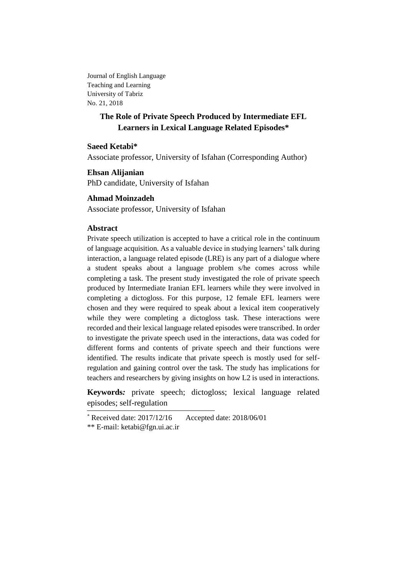Journal of English Language Teaching and Learning University of Tabriz No. 21, 2018

# **The Role of Private Speech Produced by Intermediate EFL Learners in Lexical Language Related Episodes\***

## **Saeed Ketabi\***

Associate professor, University of Isfahan (Corresponding Author)

**Ehsan Alijanian** PhD candidate, University of Isfahan

## **Ahmad Moinzadeh**

Associate professor, University of Isfahan

## **Abstract**

Private speech utilization is accepted to have a critical role in the continuum of language acquisition. As a valuable device in studying learners' talk during interaction, a language related episode (LRE) is any part of a dialogue where a student speaks about a language problem s/he comes across while completing a task. The present study investigated the role of private speech produced by Intermediate Iranian EFL learners while they were involved in completing a dictogloss. For this purpose, 12 female EFL learners were chosen and they were required to speak about a lexical item cooperatively while they were completing a dictogloss task. These interactions were recorded and their lexical language related episodes were transcribed. In order to investigate the private speech used in the interactions, data was coded for different forms and contents of private speech and their functions were identified. The results indicate that private speech is mostly used for selfregulation and gaining control over the task. The study has implications for teachers and researchers by giving insights on how L2 is used in interactions.

**Keywords***:* private speech; dictogloss; lexical language related episodes; self-regulation

 $*$  Received date: 2017/12/16 Accepted date: 2018/06/01

<sup>\*\*</sup> E-mail: ketabi@fgn.ui.ac.ir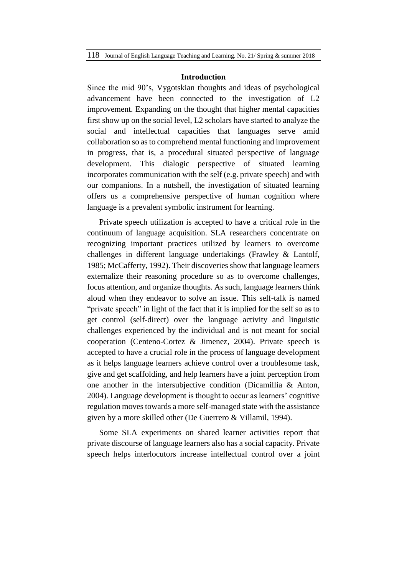#### **Introduction**

Since the mid 90's, Vygotskian thoughts and ideas of psychological advancement have been connected to the investigation of L2 improvement. Expanding on the thought that higher mental capacities first show up on the social level, L2 scholars have started to analyze the social and intellectual capacities that languages serve amid collaboration so as to comprehend mental functioning and improvement in progress, that is, a procedural situated perspective of language development. This dialogic perspective of situated learning incorporates communication with the self (e.g. private speech) and with our companions. In a nutshell, the investigation of situated learning offers us a comprehensive perspective of human cognition where language is a prevalent symbolic instrument for learning.

Private speech utilization is accepted to have a critical role in the continuum of language acquisition. SLA researchers concentrate on recognizing important practices utilized by learners to overcome challenges in different language undertakings (Frawley & Lantolf, 1985; McCafferty, 1992). Their discoveries show that language learners externalize their reasoning procedure so as to overcome challenges, focus attention, and organize thoughts. As such, language learners think aloud when they endeavor to solve an issue. This self-talk is named "private speech" in light of the fact that it is implied for the self so as to get control (self-direct) over the language activity and linguistic challenges experienced by the individual and is not meant for social cooperation (Centeno-Cortez & Jimenez, 2004). Private speech is accepted to have a crucial role in the process of language development as it helps language learners achieve control over a troublesome task, give and get scaffolding, and help learners have a joint perception from one another in the intersubjective condition (Dicamillia & Anton, 2004). Language development is thought to occur as learners' cognitive regulation moves towards a more self-managed state with the assistance given by a more skilled other (De Guerrero & Villamil, 1994).

Some SLA experiments on shared learner activities report that private discourse of language learners also has a social capacity. Private speech helps interlocutors increase intellectual control over a joint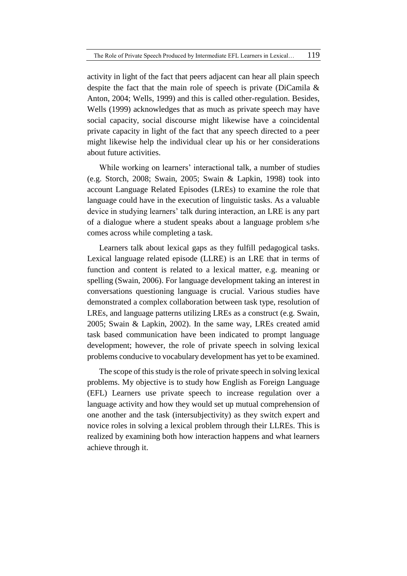activity in light of the fact that peers adjacent can hear all plain speech despite the fact that the main role of speech is private (DiCamila & Anton, 2004; Wells, 1999) and this is called other-regulation. Besides, Wells (1999) acknowledges that as much as private speech may have social capacity, social discourse might likewise have a coincidental private capacity in light of the fact that any speech directed to a peer might likewise help the individual clear up his or her considerations about future activities.

While working on learners' interactional talk, a number of studies (e.g. Storch, 2008; Swain, 2005; Swain & Lapkin, 1998) took into account Language Related Episodes (LREs) to examine the role that language could have in the execution of linguistic tasks. As a valuable device in studying learners' talk during interaction, an LRE is any part of a dialogue where a student speaks about a language problem s/he comes across while completing a task.

Learners talk about lexical gaps as they fulfill pedagogical tasks. Lexical language related episode (LLRE) is an LRE that in terms of function and content is related to a lexical matter, e.g. meaning or spelling (Swain, 2006). For language development taking an interest in conversations questioning language is crucial. Various studies have demonstrated a complex collaboration between task type, resolution of LREs, and language patterns utilizing LREs as a construct (e.g. Swain, 2005; Swain & Lapkin, 2002). In the same way, LREs created amid task based communication have been indicated to prompt language development; however, the role of private speech in solving lexical problems conducive to vocabulary development has yet to be examined.

The scope of this study is the role of private speech in solving lexical problems. My objective is to study how English as Foreign Language (EFL) Learners use private speech to increase regulation over a language activity and how they would set up mutual comprehension of one another and the task (intersubjectivity) as they switch expert and novice roles in solving a lexical problem through their LLREs. This is realized by examining both how interaction happens and what learners achieve through it.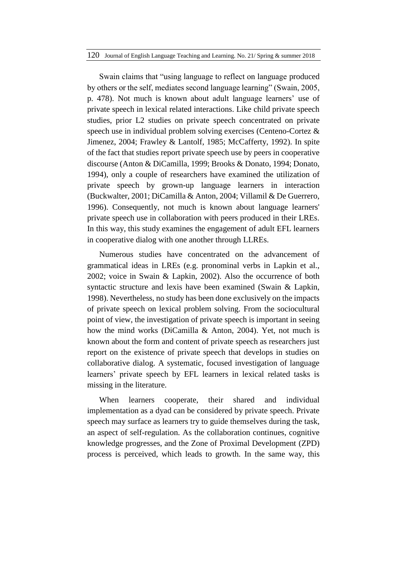#### 120 Journal of English Language Teaching and Learning. No. 21/ Spring & summer 2018

Swain claims that "using language to reflect on language produced by others or the self, mediates second language learning" (Swain, 2005, p. 478). Not much is known about adult language learners' use of private speech in lexical related interactions. Like child private speech studies, prior L2 studies on private speech concentrated on private speech use in individual problem solving exercises (Centeno-Cortez & Jimenez, 2004; Frawley & Lantolf, 1985; McCafferty, 1992). In spite of the fact that studies report private speech use by peers in cooperative discourse (Anton & DiCamilla, 1999; Brooks & Donato, 1994; Donato, 1994), only a couple of researchers have examined the utilization of private speech by grown-up language learners in interaction (Buckwalter, 2001; DiCamilla & Anton, 2004; Villamil & De Guerrero, 1996). Consequently, not much is known about language learners' private speech use in collaboration with peers produced in their LREs. In this way, this study examines the engagement of adult EFL learners in cooperative dialog with one another through LLREs.

Numerous studies have concentrated on the advancement of grammatical ideas in LREs (e.g. pronominal verbs in Lapkin et al., 2002; voice in Swain & Lapkin, 2002). Also the occurrence of both syntactic structure and lexis have been examined (Swain & Lapkin, 1998). Nevertheless, no study has been done exclusively on the impacts of private speech on lexical problem solving. From the sociocultural point of view, the investigation of private speech is important in seeing how the mind works (DiCamilla & Anton, 2004). Yet, not much is known about the form and content of private speech as researchers just report on the existence of private speech that develops in studies on collaborative dialog. A systematic, focused investigation of language learners' private speech by EFL learners in lexical related tasks is missing in the literature.

When learners cooperate, their shared and individual implementation as a dyad can be considered by private speech. Private speech may surface as learners try to guide themselves during the task, an aspect of self-regulation. As the collaboration continues, cognitive knowledge progresses, and the Zone of Proximal Development (ZPD) process is perceived, which leads to growth. In the same way, this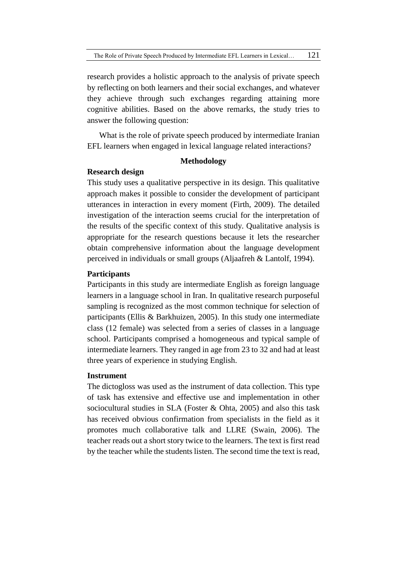research provides a holistic approach to the analysis of private speech by reflecting on both learners and their social exchanges, and whatever they achieve through such exchanges regarding attaining more cognitive abilities. Based on the above remarks, the study tries to answer the following question:

What is the role of private speech produced by intermediate Iranian EFL learners when engaged in lexical language related interactions?

### **Methodology**

## **Research design**

This study uses a qualitative perspective in its design. This qualitative approach makes it possible to consider the development of participant utterances in interaction in every moment (Firth, 2009). The detailed investigation of the interaction seems crucial for the interpretation of the results of the specific context of this study. Qualitative analysis is appropriate for the research questions because it lets the researcher obtain comprehensive information about the language development perceived in individuals or small groups (Aljaafreh & Lantolf, 1994).

### **Participants**

Participants in this study are intermediate English as foreign language learners in a language school in Iran. In qualitative research purposeful sampling is recognized as the most common technique for selection of participants (Ellis & Barkhuizen, 2005). In this study one intermediate class (12 female) was selected from a series of classes in a language school. Participants comprised a homogeneous and typical sample of intermediate learners. They ranged in age from 23 to 32 and had at least three years of experience in studying English.

## **Instrument**

The dictogloss was used as the instrument of data collection. This type of task has extensive and effective use and implementation in other sociocultural studies in SLA (Foster & Ohta, 2005) and also this task has received obvious confirmation from specialists in the field as it promotes much collaborative talk and LLRE (Swain, 2006). The teacher reads out a short story twice to the learners. The text is first read by the teacher while the students listen. The second time the text is read,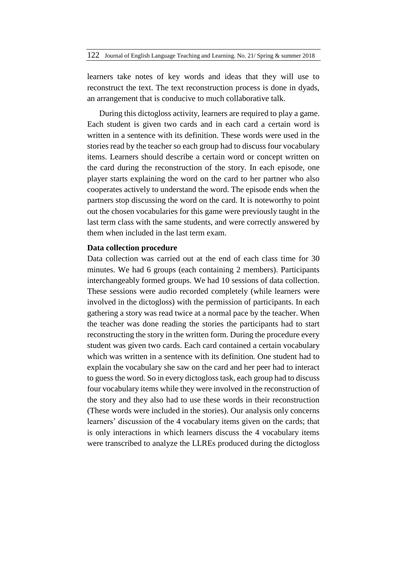learners take notes of key words and ideas that they will use to reconstruct the text. The text reconstruction process is done in dyads, an arrangement that is conducive to much collaborative talk.

During this dictogloss activity, learners are required to play a game. Each student is given two cards and in each card a certain word is written in a sentence with its definition. These words were used in the stories read by the teacher so each group had to discuss four vocabulary items. Learners should describe a certain word or concept written on the card during the reconstruction of the story. In each episode, one player starts explaining the word on the card to her partner who also cooperates actively to understand the word. The episode ends when the partners stop discussing the word on the card. It is noteworthy to point out the chosen vocabularies for this game were previously taught in the last term class with the same students, and were correctly answered by them when included in the last term exam.

### **Data collection procedure**

Data collection was carried out at the end of each class time for 30 minutes. We had 6 groups (each containing 2 members). Participants interchangeably formed groups. We had 10 sessions of data collection. These sessions were audio recorded completely (while learners were involved in the dictogloss) with the permission of participants. In each gathering a story was read twice at a normal pace by the teacher. When the teacher was done reading the stories the participants had to start reconstructing the story in the written form. During the procedure every student was given two cards. Each card contained a certain vocabulary which was written in a sentence with its definition. One student had to explain the vocabulary she saw on the card and her peer had to interact to guess the word. So in every dictogloss task, each group had to discuss four vocabulary items while they were involved in the reconstruction of the story and they also had to use these words in their reconstruction (These words were included in the stories). Our analysis only concerns learners' discussion of the 4 vocabulary items given on the cards; that is only interactions in which learners discuss the 4 vocabulary items were transcribed to analyze the LLREs produced during the dictogloss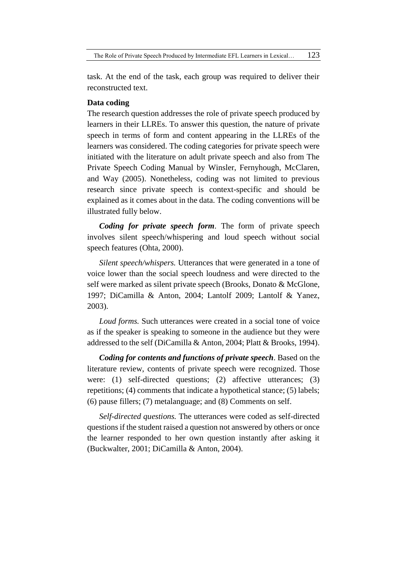The Role of Private Speech Produced by Intermediate EFL Learners in Lexical... 123

task. At the end of the task, each group was required to deliver their reconstructed text.

## **Data coding**

The research question addresses the role of private speech produced by learners in their LLREs. To answer this question, the nature of private speech in terms of form and content appearing in the LLREs of the learners was considered. The coding categories for private speech were initiated with the literature on adult private speech and also from The Private Speech Coding Manual by Winsler, Fernyhough, McClaren, and Way (2005). Nonetheless, coding was not limited to previous research since private speech is context-specific and should be explained as it comes about in the data. The coding conventions will be illustrated fully below.

*Coding for private speech form*. The form of private speech involves silent speech/whispering and loud speech without social speech features (Ohta, 2000).

*Silent speech/whispers.* Utterances that were generated in a tone of voice lower than the social speech loudness and were directed to the self were marked as silent private speech (Brooks, Donato & McGlone, 1997; DiCamilla & Anton, 2004; Lantolf 2009; Lantolf & Yanez, 2003).

*Loud forms.* Such utterances were created in a social tone of voice as if the speaker is speaking to someone in the audience but they were addressed to the self (DiCamilla & Anton, 2004; Platt & Brooks, 1994).

*Coding for contents and functions of private speech*. Based on the literature review, contents of private speech were recognized. Those were: (1) self-directed questions; (2) affective utterances; (3) repetitions; (4) comments that indicate a hypothetical stance; (5) labels; (6) pause fillers; (7) metalanguage; and (8) Comments on self.

*Self-directed questions.* The utterances were coded as self-directed questions if the student raised a question not answered by others or once the learner responded to her own question instantly after asking it (Buckwalter, 2001; DiCamilla & Anton, 2004).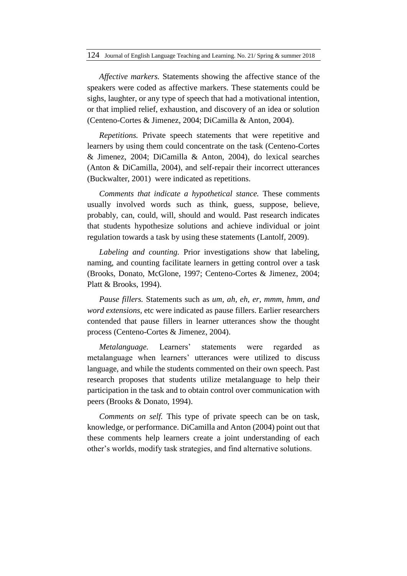*Affective markers.* Statements showing the affective stance of the speakers were coded as affective markers. These statements could be sighs, laughter, or any type of speech that had a motivational intention, or that implied relief, exhaustion, and discovery of an idea or solution (Centeno-Cortes & Jimenez, 2004; DiCamilla & Anton, 2004).

*Repetitions.* Private speech statements that were repetitive and learners by using them could concentrate on the task (Centeno-Cortes & Jimenez, 2004; DiCamilla & Anton, 2004), do lexical searches (Anton & DiCamilla, 2004), and self-repair their incorrect utterances (Buckwalter, 2001) were indicated as repetitions.

*Comments that indicate a hypothetical stance.* These comments usually involved words such as think, guess, suppose, believe, probably, can, could, will, should and would. Past research indicates that students hypothesize solutions and achieve individual or joint regulation towards a task by using these statements (Lantolf, 2009).

*Labeling and counting.* Prior investigations show that labeling, naming, and counting facilitate learners in getting control over a task (Brooks, Donato, McGlone, 1997; Centeno-Cortes & Jimenez, 2004; Platt & Brooks, 1994).

*Pause fillers.* Statements such as *um, ah, eh, er, mmm*, *hmm*, *and word extensions*, etc were indicated as pause fillers. Earlier researchers contended that pause fillers in learner utterances show the thought process (Centeno-Cortes & Jimenez, 2004).

*Metalanguage.* Learners' statements were regarded as metalanguage when learners' utterances were utilized to discuss language, and while the students commented on their own speech. Past research proposes that students utilize metalanguage to help their participation in the task and to obtain control over communication with peers (Brooks & Donato, 1994).

*Comments on self.* This type of private speech can be on task, knowledge, or performance. DiCamilla and Anton (2004) point out that these comments help learners create a joint understanding of each other's worlds, modify task strategies, and find alternative solutions.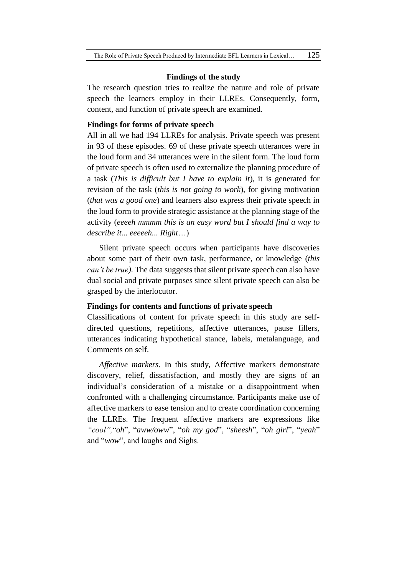#### **Findings of the study**

The research question tries to realize the nature and role of private speech the learners employ in their LLREs. Consequently, form, content, and function of private speech are examined.

## **Findings for forms of private speech**

All in all we had 194 LLREs for analysis. Private speech was present in 93 of these episodes. 69 of these private speech utterances were in the loud form and 34 utterances were in the silent form. The loud form of private speech is often used to externalize the planning procedure of a task (*This is difficult but I have to explain it*), it is generated for revision of the task (*this is not going to work*), for giving motivation (*that was a good one*) and learners also express their private speech in the loud form to provide strategic assistance at the planning stage of the activity (*eeeeh mmmm this is an easy word but I should find a way to describe it... eeeeeh... Right*…)

Silent private speech occurs when participants have discoveries about some part of their own task, performance, or knowledge (*this can't be true)*. The data suggests that silent private speech can also have dual social and private purposes since silent private speech can also be grasped by the interlocutor.

### **Findings for contents and functions of private speech**

Classifications of content for private speech in this study are selfdirected questions, repetitions, affective utterances, pause fillers, utterances indicating hypothetical stance, labels, metalanguage, and Comments on self.

*Affective markers.* In this study, Affective markers demonstrate discovery, relief, dissatisfaction, and mostly they are signs of an individual's consideration of a mistake or a disappointment when confronted with a challenging circumstance. Participants make use of affective markers to ease tension and to create coordination concerning the LLREs. The frequent affective markers are expressions like *"cool",*"*oh*", "*aww/oww*", "*oh my god*", "*sheesh*", "*oh girl*", "*yeah*" and "*wow*", and laughs and Sighs.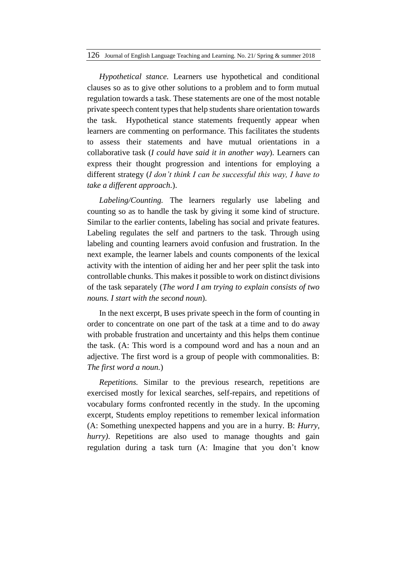*Hypothetical stance.* Learners use hypothetical and conditional clauses so as to give other solutions to a problem and to form mutual regulation towards a task. These statements are one of the most notable private speech content types that help students share orientation towards the task. Hypothetical stance statements frequently appear when learners are commenting on performance. This facilitates the students to assess their statements and have mutual orientations in a collaborative task (*I could have said it in another way*). Learners can express their thought progression and intentions for employing a different strategy (*I don't think I can be successful this way, I have to take a different approach.*).

*Labeling/Counting.* The learners regularly use labeling and counting so as to handle the task by giving it some kind of structure. Similar to the earlier contents, labeling has social and private features. Labeling regulates the self and partners to the task. Through using labeling and counting learners avoid confusion and frustration. In the next example, the learner labels and counts components of the lexical activity with the intention of aiding her and her peer split the task into controllable chunks. This makes it possible to work on distinct divisions of the task separately (*The word I am trying to explain consists of two nouns. I start with the second noun*).

In the next excerpt, B uses private speech in the form of counting in order to concentrate on one part of the task at a time and to do away with probable frustration and uncertainty and this helps them continue the task. (A: This word is a compound word and has a noun and an adjective. The first word is a group of people with commonalities. B: *The first word a noun.*)

*Repetitions.* Similar to the previous research, repetitions are exercised mostly for lexical searches, self-repairs, and repetitions of vocabulary forms confronted recently in the study. In the upcoming excerpt, Students employ repetitions to remember lexical information (A: Something unexpected happens and you are in a hurry. B: *Hurry, hurry*). Repetitions are also used to manage thoughts and gain regulation during a task turn (A: Imagine that you don't know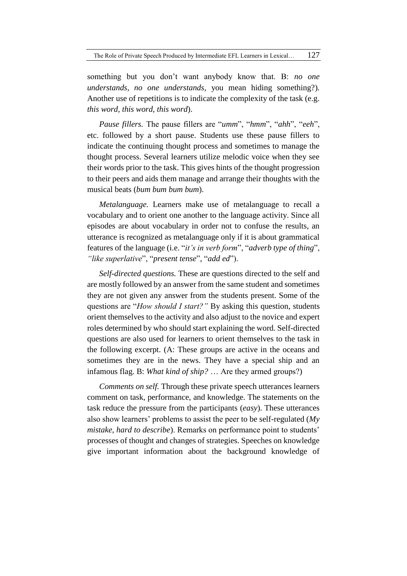something but you don't want anybody know that. B: *no one understands, no one understands*, you mean hiding something?)*.*  Another use of repetitions is to indicate the complexity of the task (e.g. *this word, this word, this word*).

*Pause fillers.* The pause fillers are "*umm*", "*hmm*", "*ahh*", "*eeh*", etc. followed by a short pause. Students use these pause fillers to indicate the continuing thought process and sometimes to manage the thought process. Several learners utilize melodic voice when they see their words prior to the task. This gives hints of the thought progression to their peers and aids them manage and arrange their thoughts with the musical beats (*bum bum bum bum*).

*Metalanguage.* Learners make use of metalanguage to recall a vocabulary and to orient one another to the language activity. Since all episodes are about vocabulary in order not to confuse the results, an utterance is recognized as metalanguage only if it is about grammatical features of the language (i.e. "*it's in verb form*", "*adverb type of thing*", *"like superlative*", "*present tense*", "*add ed*").

*Self-directed questions.* These are questions directed to the self and are mostly followed by an answer from the same student and sometimes they are not given any answer from the students present. Some of the questions are "*How should I start?"* By asking this question, students orient themselves to the activity and also adjust to the novice and expert roles determined by who should start explaining the word. Self-directed questions are also used for learners to orient themselves to the task in the following excerpt. (A: These groups are active in the oceans and sometimes they are in the news. They have a special ship and an infamous flag. B: *What kind of ship?* … Are they armed groups?)

*Comments on self.* Through these private speech utterances learners comment on task, performance, and knowledge. The statements on the task reduce the pressure from the participants (*easy*). These utterances also show learners' problems to assist the peer to be self-regulated (*My mistake, hard to describe*). Remarks on performance point to students' processes of thought and changes of strategies. Speeches on knowledge give important information about the background knowledge of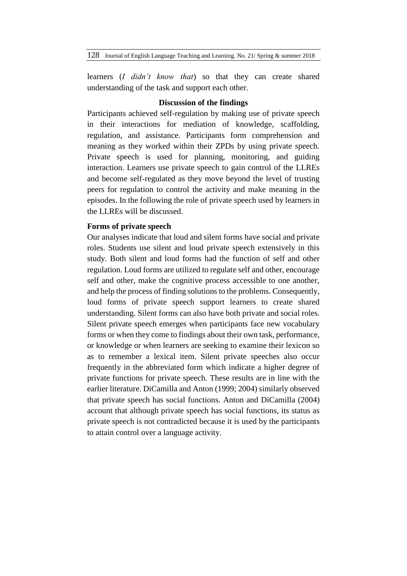128 Journal of English Language Teaching and Learning. No. 21/ Spring & summer 2018

learners (*I didn't know that*) so that they can create shared understanding of the task and support each other.

### **Discussion of the findings**

Participants achieved self-regulation by making use of private speech in their interactions for mediation of knowledge, scaffolding, regulation, and assistance. Participants form comprehension and meaning as they worked within their ZPDs by using private speech. Private speech is used for planning, monitoring, and guiding interaction. Learners use private speech to gain control of the LLREs and become self-regulated as they move beyond the level of trusting peers for regulation to control the activity and make meaning in the episodes. In the following the role of private speech used by learners in the LLREs will be discussed.

# **Forms of private speech**

Our analyses indicate that loud and silent forms have social and private roles. Students use silent and loud private speech extensively in this study. Both silent and loud forms had the function of self and other regulation. Loud forms are utilized to regulate self and other, encourage self and other, make the cognitive process accessible to one another, and help the process of finding solutions to the problems. Consequently, loud forms of private speech support learners to create shared understanding. Silent forms can also have both private and social roles. Silent private speech emerges when participants face new vocabulary forms or when they come to findings about their own task, performance, or knowledge or when learners are seeking to examine their lexicon so as to remember a lexical item. Silent private speeches also occur frequently in the abbreviated form which indicate a higher degree of private functions for private speech. These results are in line with the earlier literature. DiCamilla and Anton (1999; 2004) similarly observed that private speech has social functions. Anton and DiCamilla (2004) account that although private speech has social functions, its status as private speech is not contradicted because it is used by the participants to attain control over a language activity.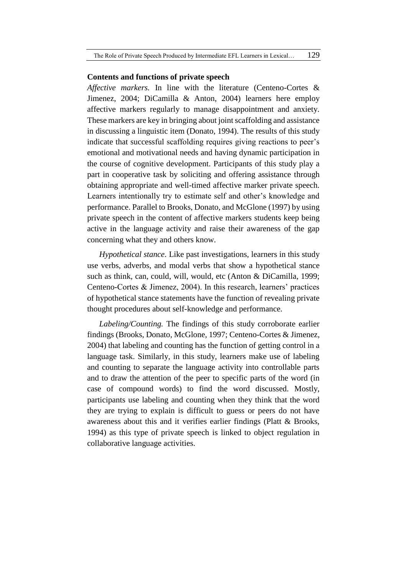#### **Contents and functions of private speech**

*Affective markers.* In line with the literature (Centeno-Cortes & Jimenez, 2004; DiCamilla & Anton, 2004) learners here employ affective markers regularly to manage disappointment and anxiety. These markers are key in bringing about joint scaffolding and assistance in discussing a linguistic item (Donato, 1994). The results of this study indicate that successful scaffolding requires giving reactions to peer's emotional and motivational needs and having dynamic participation in the course of cognitive development. Participants of this study play a part in cooperative task by soliciting and offering assistance through obtaining appropriate and well-timed affective marker private speech. Learners intentionally try to estimate self and other's knowledge and performance. Parallel to Brooks, Donato, and McGlone (1997) by using private speech in the content of affective markers students keep being active in the language activity and raise their awareness of the gap concerning what they and others know.

*Hypothetical stance*. Like past investigations, learners in this study use verbs, adverbs, and modal verbs that show a hypothetical stance such as think, can, could, will, would, etc (Anton & DiCamilla, 1999; Centeno-Cortes & Jimenez, 2004). In this research, learners' practices of hypothetical stance statements have the function of revealing private thought procedures about self-knowledge and performance.

*Labeling/Counting.* The findings of this study corroborate earlier findings (Brooks, Donato, McGlone, 1997; Centeno-Cortes & Jimenez, 2004) that labeling and counting has the function of getting control in a language task. Similarly, in this study, learners make use of labeling and counting to separate the language activity into controllable parts and to draw the attention of the peer to specific parts of the word (in case of compound words) to find the word discussed. Mostly, participants use labeling and counting when they think that the word they are trying to explain is difficult to guess or peers do not have awareness about this and it verifies earlier findings (Platt & Brooks, 1994) as this type of private speech is linked to object regulation in collaborative language activities.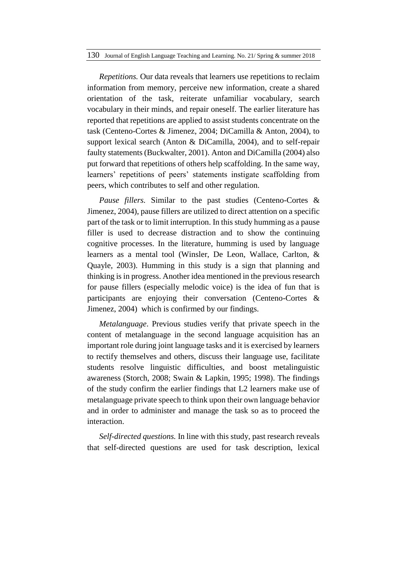*Repetitions.* Our data reveals that learners use repetitions to reclaim information from memory, perceive new information, create a shared orientation of the task, reiterate unfamiliar vocabulary, search vocabulary in their minds, and repair oneself. The earlier literature has reported that repetitions are applied to assist students concentrate on the task (Centeno-Cortes & Jimenez, 2004; DiCamilla & Anton, 2004), to support lexical search (Anton & DiCamilla, 2004), and to self-repair faulty statements (Buckwalter, 2001). Anton and DiCamilla (2004) also put forward that repetitions of others help scaffolding. In the same way, learners' repetitions of peers' statements instigate scaffolding from peers, which contributes to self and other regulation.

*Pause fillers.* Similar to the past studies (Centeno-Cortes & Jimenez, 2004), pause fillers are utilized to direct attention on a specific part of the task or to limit interruption. In this study humming as a pause filler is used to decrease distraction and to show the continuing cognitive processes. In the literature, humming is used by language learners as a mental tool (Winsler, De Leon, Wallace, Carlton, & Quayle, 2003). Humming in this study is a sign that planning and thinking is in progress. Another idea mentioned in the previous research for pause fillers (especially melodic voice) is the idea of fun that is participants are enjoying their conversation (Centeno-Cortes & Jimenez, 2004) which is confirmed by our findings.

*Metalanguage*. Previous studies verify that private speech in the content of metalanguage in the second language acquisition has an important role during joint language tasks and it is exercised by learners to rectify themselves and others, discuss their language use, facilitate students resolve linguistic difficulties, and boost metalinguistic awareness (Storch, 2008; Swain & Lapkin, 1995; 1998). The findings of the study confirm the earlier findings that L2 learners make use of metalanguage private speech to think upon their own language behavior and in order to administer and manage the task so as to proceed the interaction.

*Self-directed questions.* In line with this study, past research reveals that self-directed questions are used for task description, lexical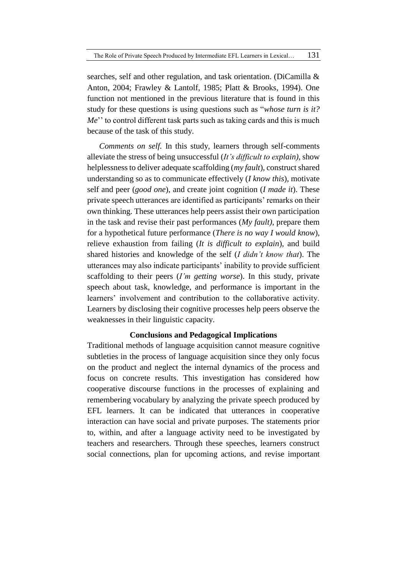searches, self and other regulation, and task orientation. (DiCamilla & Anton, 2004; Frawley & Lantolf, 1985; Platt & Brooks, 1994). One function not mentioned in the previous literature that is found in this study for these questions is using questions such as "*whose turn is it? Me*" to control different task parts such as taking cards and this is much because of the task of this study.

*Comments on self.* In this study, learners through self-comments alleviate the stress of being unsuccessful (*It's difficult to explain)*, show helplessness to deliver adequate scaffolding (*my fault*), construct shared understanding so as to communicate effectively (*I know this*), motivate self and peer (*good one*), and create joint cognition (*I made it*). These private speech utterances are identified as participants' remarks on their own thinking. These utterances help peers assist their own participation in the task and revise their past performances (*My fault)*, prepare them for a hypothetical future performance (*There is no way I would know*), relieve exhaustion from failing (*It is difficult to explain*), and build shared histories and knowledge of the self (*I didn't know that*). The utterances may also indicate participants' inability to provide sufficient scaffolding to their peers (*I'm getting worse*). In this study, private speech about task, knowledge, and performance is important in the learners' involvement and contribution to the collaborative activity. Learners by disclosing their cognitive processes help peers observe the weaknesses in their linguistic capacity.

### **Conclusions and Pedagogical Implications**

Traditional methods of language acquisition cannot measure cognitive subtleties in the process of language acquisition since they only focus on the product and neglect the internal dynamics of the process and focus on concrete results. This investigation has considered how cooperative discourse functions in the processes of explaining and remembering vocabulary by analyzing the private speech produced by EFL learners. It can be indicated that utterances in cooperative interaction can have social and private purposes. The statements prior to, within, and after a language activity need to be investigated by teachers and researchers. Through these speeches, learners construct social connections, plan for upcoming actions, and revise important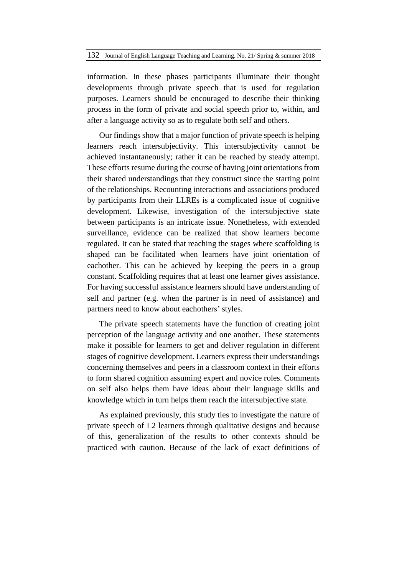information. In these phases participants illuminate their thought developments through private speech that is used for regulation purposes. Learners should be encouraged to describe their thinking process in the form of private and social speech prior to, within, and after a language activity so as to regulate both self and others.

Our findings show that a major function of private speech is helping learners reach intersubjectivity. This intersubjectivity cannot be achieved instantaneously; rather it can be reached by steady attempt. These efforts resume during the course of having joint orientations from their shared understandings that they construct since the starting point of the relationships. Recounting interactions and associations produced by participants from their LLREs is a complicated issue of cognitive development. Likewise, investigation of the intersubjective state between participants is an intricate issue. Nonetheless, with extended surveillance, evidence can be realized that show learners become regulated. It can be stated that reaching the stages where scaffolding is shaped can be facilitated when learners have joint orientation of eachother. This can be achieved by keeping the peers in a group constant. Scaffolding requires that at least one learner gives assistance. For having successful assistance learners should have understanding of self and partner (e.g. when the partner is in need of assistance) and partners need to know about eachothers' styles.

The private speech statements have the function of creating joint perception of the language activity and one another. These statements make it possible for learners to get and deliver regulation in different stages of cognitive development. Learners express their understandings concerning themselves and peers in a classroom context in their efforts to form shared cognition assuming expert and novice roles. Comments on self also helps them have ideas about their language skills and knowledge which in turn helps them reach the intersubjective state.

As explained previously, this study ties to investigate the nature of private speech of L2 learners through qualitative designs and because of this, generalization of the results to other contexts should be practiced with caution. Because of the lack of exact definitions of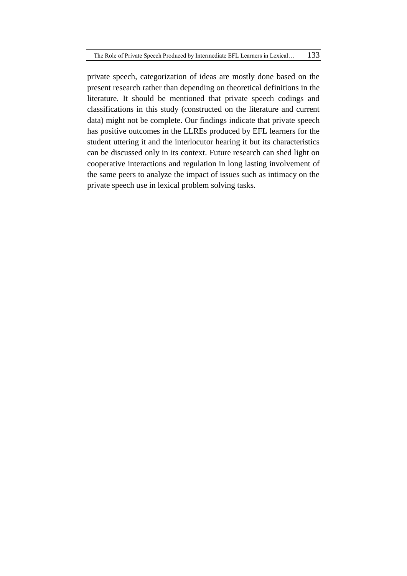private speech, categorization of ideas are mostly done based on the present research rather than depending on theoretical definitions in the literature. It should be mentioned that private speech codings and classifications in this study (constructed on the literature and current data) might not be complete. Our findings indicate that private speech has positive outcomes in the LLREs produced by EFL learners for the student uttering it and the interlocutor hearing it but its characteristics can be discussed only in its context. Future research can shed light on cooperative interactions and regulation in long lasting involvement of the same peers to analyze the impact of issues such as intimacy on the private speech use in lexical problem solving tasks.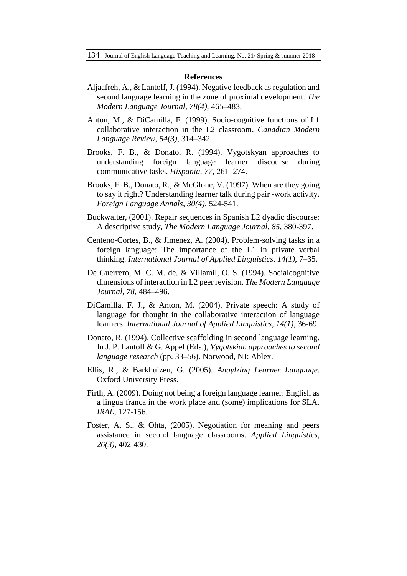#### **References**

- Aljaafreh, A., & Lantolf, J. (1994). Negative feedback as regulation and second language learning in the zone of proximal development. *The Modern Language Journal*, *78(4)*, 465–483.
- Anton, M., & DiCamilla, F. (1999). Socio-cognitive functions of L1 collaborative interaction in the L2 classroom. *Canadian Modern Language Review, 54(3)*, 314–342.
- Brooks, F. B., & Donato, R. (1994). Vygotskyan approaches to understanding foreign language learner discourse during communicative tasks. *Hispania, 77*, 261–274.
- Brooks, F. B., Donato, R., & McGlone, V. (1997). When are they going to say it right? Understanding learner talk during pair -work activity. *Foreign Language Annals*, *30(4)*, 524-541.
- Buckwalter, (2001). Repair sequences in Spanish L2 dyadic discourse: A descriptive study, *The Modern Language Journal, 85,* 380-397.
- Centeno-Cortes, B., & Jimenez, A. (2004). Problem-solving tasks in a foreign language: The importance of the L1 in private verbal thinking. *International Journal of Applied Linguistics*, *14(1)*, 7–35.
- De Guerrero, M. C. M. de, & Villamil, O. S. (1994). Socialcognitive dimensions of interaction in L2 peer revision. *The Modern Language Journal, 78*, 484–496.
- DiCamilla, F. J., & Anton, M. (2004). Private speech: A study of language for thought in the collaborative interaction of language learners. *International Journal of Applied Linguistics, 14(1),* 36-69.
- Donato, R. (1994). Collective scaffolding in second language learning. In J. P. Lantolf & G. Appel (Eds.), *Vygotskian approaches to second language research* (pp. 33–56). Norwood, NJ: Ablex.
- Ellis, R., & Barkhuizen, G. (2005). *Anaylzing Learner Language*. Oxford University Press.
- Firth, A. (2009). Doing not being a foreign language learner: English as a lingua franca in the work place and (some) implications for SLA. *IRAL,* 127-156.
- Foster, A. S., & Ohta, (2005). Negotiation for meaning and peers assistance in second language classrooms. *Applied Linguistics, 26(3)*, 402-430.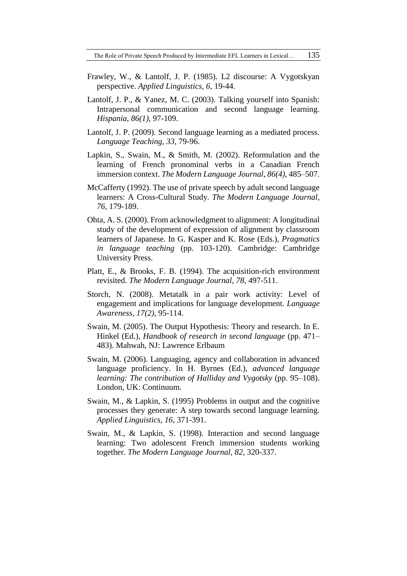The Role of Private Speech Produced by Intermediate EFL Learners in Lexical... 135

- Frawley, W., & Lantolf, J. P. (1985). L2 discourse: A Vygotskyan perspective. *Applied Linguistics, 6*, 19-44.
- Lantolf, J. P., & Yanez, M. C. (2003). Talking yourself into Spanish: Intrapersonal communication and second language learning. *Hispania, 86(1),* 97-109.
- Lantolf, J. P. (2009). Second language learning as a mediated process. *Language Teaching, 33,* 79-96.
- Lapkin, S., Swain, M., & Smith, M. (2002). Reformulation and the learning of French pronominal verbs in a Canadian French immersion context. *The Modern Language Journal*, *86(4)*, 485–507.
- McCafferty (1992). The use of private speech by adult second language learners: A Cross-Cultural Study. *The Modern Language Journal, 76,* 179-189.
- Ohta, A. S. (2000). From acknowledgment to alignment: A longitudinal study of the development of expression of alignment by classroom learners of Japanese. In G. Kasper and K. Rose (Eds.), *Pragmatics in language teaching* (pp. 103-120). Cambridge: Cambridge University Press.
- Platt, E., & Brooks, F. B. (1994). The acquisition-rich environment revisited. *The Modern Language Journal, 78,* 497-511.
- Storch, N. (2008). Metatalk in a pair work activity: Level of engagement and implications for language development. *Language Awareness, 17(2)*, 95-114.
- Swain, M. (2005). The Output Hypothesis: Theory and research. In E. Hinkel (Ed.), *Handbook of research in second language* (pp. 471– 483). Mahwah, NJ: Lawrence Erlbaum
- Swain, M. (2006). Languaging, agency and collaboration in advanced language proficiency. In H. Byrnes (Ed.), *advanced language learning: The contribution of Halliday and Vygotsky* (pp. 95–108). London, UK: Continuum.
- Swain, M., & Lapkin, S. (1995) Problems in output and the cognitive processes they generate: A step towards second language learning. *Applied Linguistics, 16*, 371-391.
- Swain, M., & Lapkin, S. (1998). Interaction and second language learning: Two adolescent French immersion students working together. *The Modern Language Journal, 82*, 320-337.